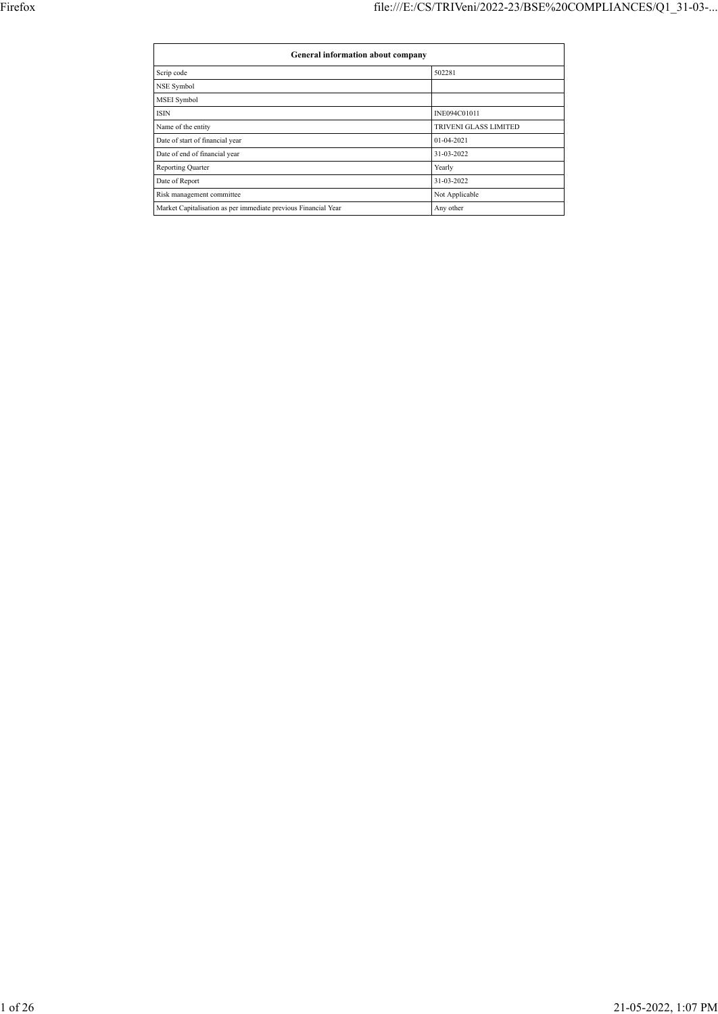| General information about company                              |                              |  |  |  |  |  |  |
|----------------------------------------------------------------|------------------------------|--|--|--|--|--|--|
| Scrip code                                                     | 502281                       |  |  |  |  |  |  |
| NSE Symbol                                                     |                              |  |  |  |  |  |  |
| <b>MSEI</b> Symbol                                             |                              |  |  |  |  |  |  |
| <b>ISIN</b>                                                    | INE094C01011                 |  |  |  |  |  |  |
| Name of the entity                                             | <b>TRIVENI GLASS LIMITED</b> |  |  |  |  |  |  |
| Date of start of financial year                                | 01-04-2021                   |  |  |  |  |  |  |
| Date of end of financial year                                  | 31-03-2022                   |  |  |  |  |  |  |
| <b>Reporting Quarter</b>                                       | Yearly                       |  |  |  |  |  |  |
| Date of Report                                                 | 31-03-2022                   |  |  |  |  |  |  |
| Risk management committee                                      | Not Applicable               |  |  |  |  |  |  |
| Market Capitalisation as per immediate previous Financial Year | Any other                    |  |  |  |  |  |  |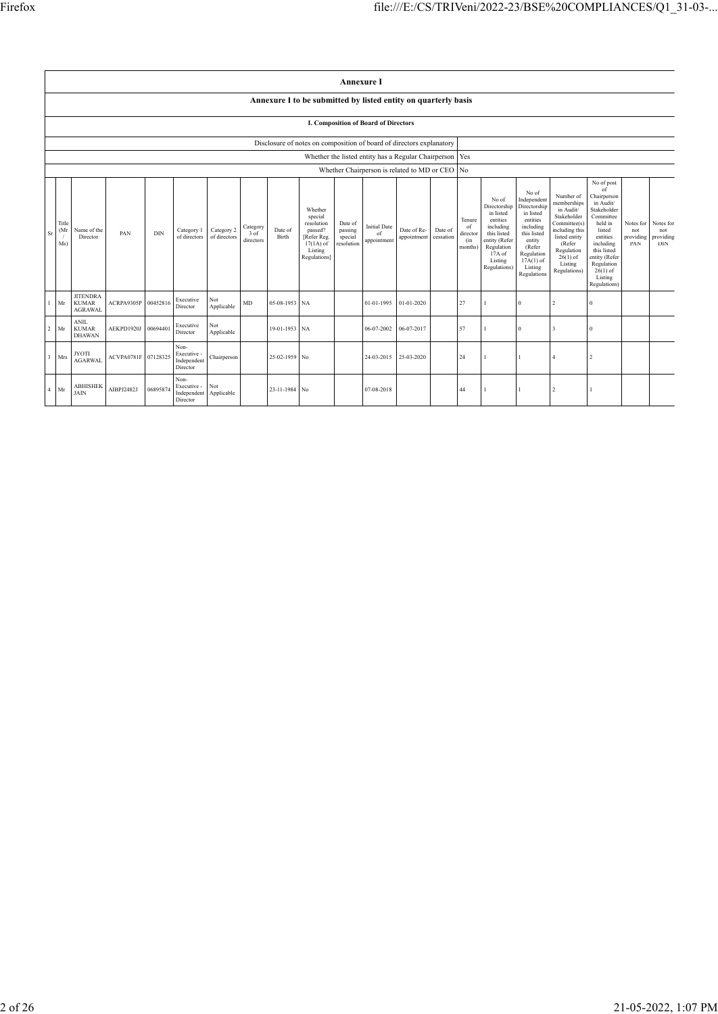|                         | <b>Annexure I</b>                                              |                                                                      |                     |            |                                                |                            |                               |                  |                                                                                                      |                                             |                                          |                                                           |                      |                                            |                                                                                                                                                |                                                                                                                                                                      |                                                                                                                                                                          |                                                                                                                                                                                                               |                                      |                                             |
|-------------------------|----------------------------------------------------------------|----------------------------------------------------------------------|---------------------|------------|------------------------------------------------|----------------------------|-------------------------------|------------------|------------------------------------------------------------------------------------------------------|---------------------------------------------|------------------------------------------|-----------------------------------------------------------|----------------------|--------------------------------------------|------------------------------------------------------------------------------------------------------------------------------------------------|----------------------------------------------------------------------------------------------------------------------------------------------------------------------|--------------------------------------------------------------------------------------------------------------------------------------------------------------------------|---------------------------------------------------------------------------------------------------------------------------------------------------------------------------------------------------------------|--------------------------------------|---------------------------------------------|
|                         | Annexure I to be submitted by listed entity on quarterly basis |                                                                      |                     |            |                                                |                            |                               |                  |                                                                                                      |                                             |                                          |                                                           |                      |                                            |                                                                                                                                                |                                                                                                                                                                      |                                                                                                                                                                          |                                                                                                                                                                                                               |                                      |                                             |
|                         | I. Composition of Board of Directors                           |                                                                      |                     |            |                                                |                            |                               |                  |                                                                                                      |                                             |                                          |                                                           |                      |                                            |                                                                                                                                                |                                                                                                                                                                      |                                                                                                                                                                          |                                                                                                                                                                                                               |                                      |                                             |
|                         |                                                                | Disclosure of notes on composition of board of directors explanatory |                     |            |                                                |                            |                               |                  |                                                                                                      |                                             |                                          |                                                           |                      |                                            |                                                                                                                                                |                                                                                                                                                                      |                                                                                                                                                                          |                                                                                                                                                                                                               |                                      |                                             |
|                         |                                                                |                                                                      |                     |            |                                                |                            |                               |                  |                                                                                                      |                                             |                                          | Whether the listed entity has a Regular Chairperson   Yes |                      |                                            |                                                                                                                                                |                                                                                                                                                                      |                                                                                                                                                                          |                                                                                                                                                                                                               |                                      |                                             |
|                         |                                                                |                                                                      |                     |            |                                                |                            |                               |                  |                                                                                                      |                                             |                                          | Whether Chairperson is related to MD or CEO No            |                      |                                            |                                                                                                                                                |                                                                                                                                                                      |                                                                                                                                                                          |                                                                                                                                                                                                               |                                      |                                             |
| Sr                      | Title<br>(Mr)<br>Ms)                                           | Name of the<br>Director                                              | PAN                 | <b>DIN</b> | Category 1<br>of directors                     | Category 2<br>of directors | Category<br>3 of<br>directors | Date of<br>Birth | Whether<br>special<br>resolution<br>passed?<br>[Refer Reg.<br>$17(1A)$ of<br>Listing<br>Regulations] | Date of<br>passing<br>special<br>resolution | <b>Initial Date</b><br>of<br>appointment | Date of Re-<br>appointment                                | Date of<br>cessation | Tenure<br>of<br>director<br>(in<br>months) | No of<br>Directorship<br>in listed<br>entities<br>including<br>this listed<br>entity (Refer<br>Regulation<br>17A of<br>Listing<br>Regulations) | No of<br>Independent<br>Directorship<br>in listed<br>entities<br>including<br>this listed<br>entity<br>(Refer<br>Regulation<br>$17A(1)$ of<br>Listing<br>Regulations | Number of<br>memberships<br>in Audit/<br>Stakeholder<br>Committee(s)<br>including this<br>listed entity<br>(Refer<br>Regulation<br>$26(1)$ of<br>Listing<br>Regulations) | No of post<br>of<br>Chairperson<br>in Audit/<br>Stakeholder<br>Committee<br>held in<br>listed<br>entities<br>including<br>this listed<br>entity (Refer<br>Regulation<br>$26(1)$ of<br>Listing<br>Regulations) | Notes for<br>not<br>providing<br>PAN | Notes for<br>not<br>providing<br><b>DIN</b> |
| $\mathbf{1}$            | Mr                                                             | <b>JITENDRA</b><br><b>KUMAR</b><br><b>AGRAWAL</b>                    | ACRPA9305P          | 00452816   | Executive<br>Director                          | Not<br>Applicable          | <b>MD</b>                     | 05-08-1953 NA    |                                                                                                      |                                             | 01-01-1995                               | 01-01-2020                                                |                      | 27                                         |                                                                                                                                                | $\mathbf{0}$                                                                                                                                                         | $\mathfrak{D}$                                                                                                                                                           | $\mathbf{0}$                                                                                                                                                                                                  |                                      |                                             |
| $\overline{2}$          | Mr                                                             | <b>ANIL</b><br><b>KUMAR</b><br><b>DHAWAN</b>                         | AEKPD1920J          | 00694401   | Executive<br>Director                          | Not<br>Applicable          |                               | 19-01-1953 NA    |                                                                                                      |                                             | 06-07-2002                               | 06-07-2017                                                |                      | 57                                         |                                                                                                                                                | $\mathbf{0}$                                                                                                                                                         |                                                                                                                                                                          | $\Omega$                                                                                                                                                                                                      |                                      |                                             |
| $\overline{\mathbf{3}}$ | Mrs                                                            | <b>JYOTI</b><br><b>AGARWAL</b>                                       | ACVPA0781F 07128325 |            | Non-<br>Executive -<br>Independent<br>Director | Chairperson                |                               | 25-02-1959 No    |                                                                                                      |                                             | 24-03-2015                               | 25-03-2020                                                |                      | 24                                         |                                                                                                                                                |                                                                                                                                                                      | Δ                                                                                                                                                                        | $\overline{c}$                                                                                                                                                                                                |                                      |                                             |
| $\overline{4}$          | Мr                                                             | <b>ABHISHEK</b><br><b>JAIN</b>                                       | AIBPJ2482J          | 06895874   | Non-<br>Executive -<br>Independent<br>Director | Not<br>Applicable          |                               | 23-11-1984 No    |                                                                                                      |                                             | 07-08-2018                               |                                                           |                      | 44                                         |                                                                                                                                                |                                                                                                                                                                      | $\mathfrak{D}$                                                                                                                                                           |                                                                                                                                                                                                               |                                      |                                             |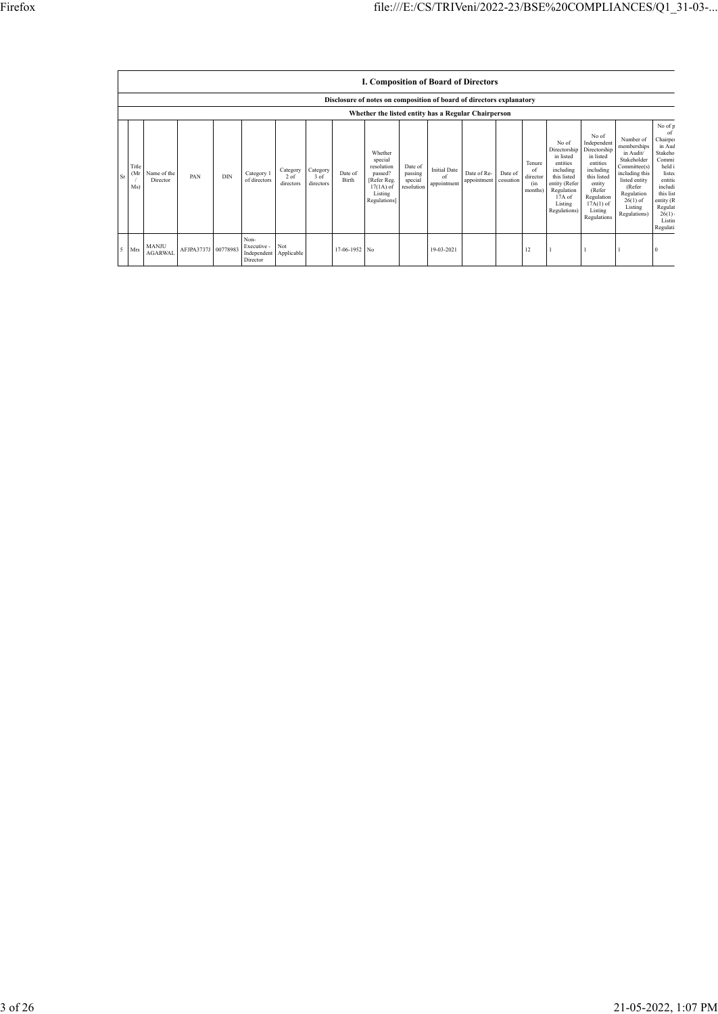|    |                     | <b>I. Composition of Board of Directors</b>                                                                                 |                     |            |                                                |                                 |                               |                  |                                                                                                      |                                             |                                          |                            |                      |                                             |                                                                                                                                                |                                                                                                                                                                      |                                                                                                                                                                          |                                                                                                                                                                       |
|----|---------------------|-----------------------------------------------------------------------------------------------------------------------------|---------------------|------------|------------------------------------------------|---------------------------------|-------------------------------|------------------|------------------------------------------------------------------------------------------------------|---------------------------------------------|------------------------------------------|----------------------------|----------------------|---------------------------------------------|------------------------------------------------------------------------------------------------------------------------------------------------|----------------------------------------------------------------------------------------------------------------------------------------------------------------------|--------------------------------------------------------------------------------------------------------------------------------------------------------------------------|-----------------------------------------------------------------------------------------------------------------------------------------------------------------------|
|    |                     | Disclosure of notes on composition of board of directors explanatory<br>Whether the listed entity has a Regular Chairperson |                     |            |                                                |                                 |                               |                  |                                                                                                      |                                             |                                          |                            |                      |                                             |                                                                                                                                                |                                                                                                                                                                      |                                                                                                                                                                          |                                                                                                                                                                       |
| Sr | Title<br>(Mr<br>Ms) | Name of the<br>Director                                                                                                     | PAN                 | <b>DIN</b> | Category 1<br>of directors                     | Category<br>$2$ of<br>directors | Category<br>3 of<br>directors | Date of<br>Birth | Whether<br>special<br>resolution<br>passed?<br>[Refer Reg.<br>$17(1A)$ of<br>Listing<br>Regulations] | Date of<br>passing<br>special<br>resolution | <b>Initial Date</b><br>of<br>appointment | Date of Re-<br>appointment | Date of<br>cessation | Tenure<br>of<br>director<br>(in)<br>months) | No of<br>Directorship<br>in listed<br>entities<br>including<br>this listed<br>entity (Refer<br>Regulation<br>17A of<br>Listing<br>Regulations) | No of<br>Independent<br>Directorship<br>in listed<br>entities<br>including<br>this listed<br>entity<br>(Refer<br>Regulation<br>$17A(1)$ of<br>Listing<br>Regulations | Number of<br>memberships<br>in Audit/<br>Stakeholder<br>Committee(s)<br>including this<br>listed entity<br>(Refer<br>Regulation<br>$26(1)$ of<br>Listing<br>Regulations) | No of p<br>ot<br>Chairpe<br>in Aud<br>Stakeho<br>Commi<br>held i<br>listed<br>entitie<br>includi<br>this list<br>entity (R)<br>Regulat<br>26(1)<br>Listin<br>Regulati |
|    | Mrs                 | <b>MANJU</b><br><b>AGARWAL</b>                                                                                              | AFJPA3737J 00778983 |            | Non-<br>Executive -<br>Independent<br>Director | Not<br>Applicable               |                               | 17-06-1952 No    |                                                                                                      |                                             | 19-03-2021                               |                            |                      | 12                                          |                                                                                                                                                |                                                                                                                                                                      |                                                                                                                                                                          |                                                                                                                                                                       |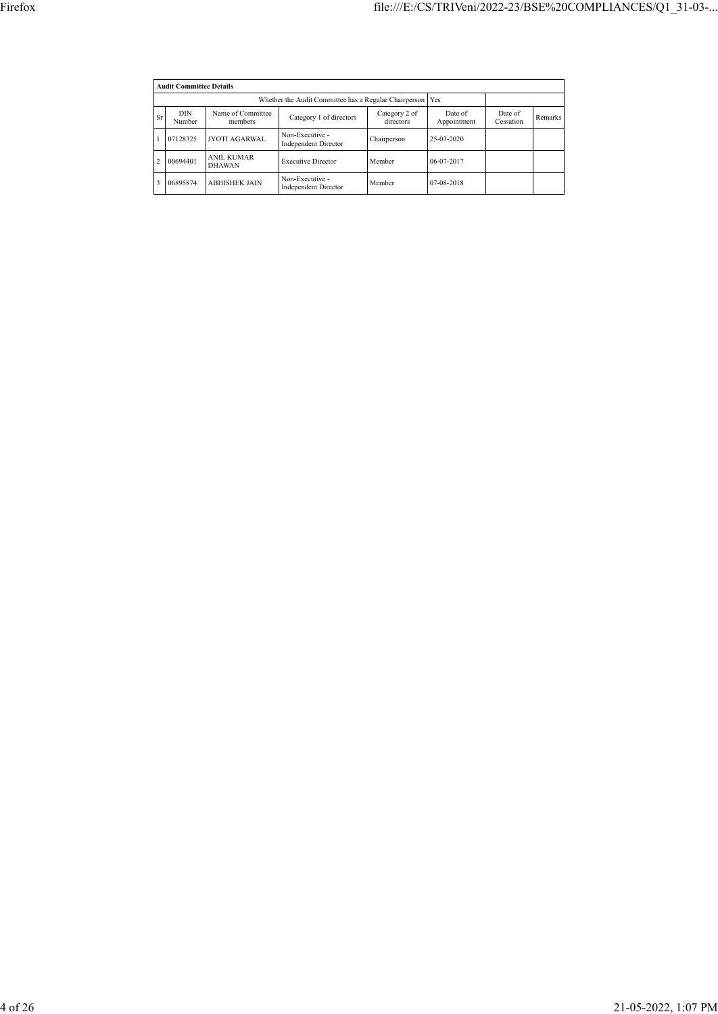|                | <b>Audit Committee Details</b> |                                    |                                                       |             |            |  |  |  |  |  |
|----------------|--------------------------------|------------------------------------|-------------------------------------------------------|-------------|------------|--|--|--|--|--|
|                |                                |                                    | Whether the Audit Committee has a Regular Chairperson |             | Yes        |  |  |  |  |  |
| <b>Sr</b>      | <b>DIN</b><br>Number           | Date of<br>Appointment             | Date of<br>Cessation                                  | Remarks     |            |  |  |  |  |  |
|                | 07128325                       | <b>JYOTI AGARWAL</b>               | Non-Executive -<br><b>Independent Director</b>        | Chairperson | 25-03-2020 |  |  |  |  |  |
| $\overline{c}$ | 00694401                       | <b>ANIL KUMAR</b><br><b>DHAWAN</b> | <b>Executive Director</b>                             | Member      | 06-07-2017 |  |  |  |  |  |
| 3              | 06895874                       | <b>ABHISHEK JAIN</b>               | Non-Executive -<br><b>Independent Director</b>        | Member      | 07-08-2018 |  |  |  |  |  |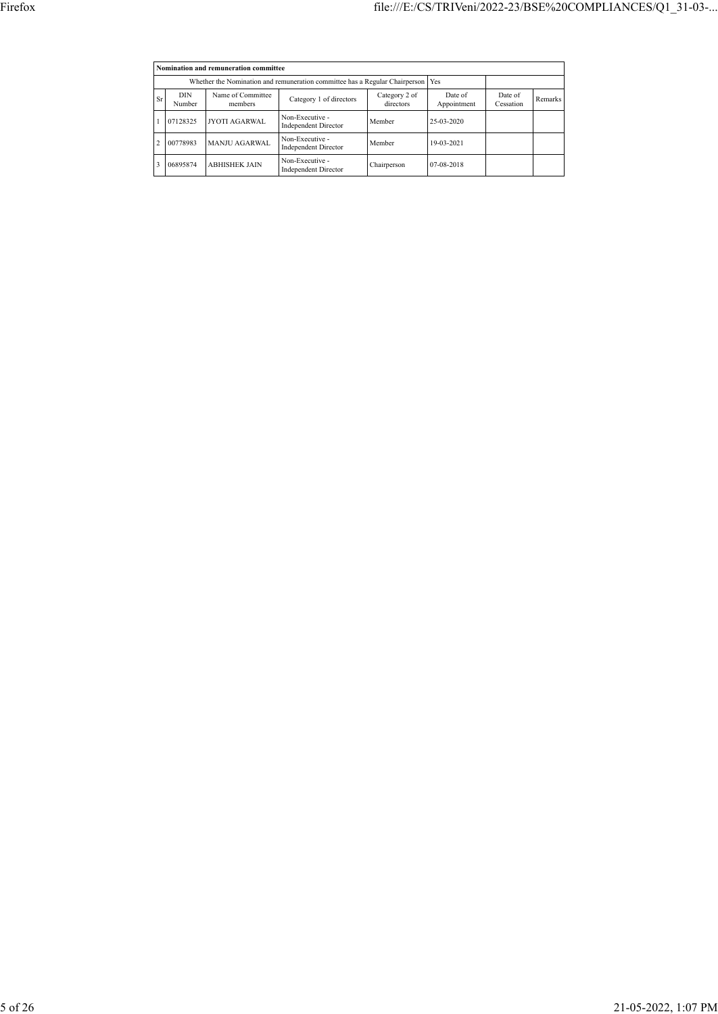|           | Nomination and remuneration committee |                                                                                   |                                                |                      |            |  |  |  |  |  |
|-----------|---------------------------------------|-----------------------------------------------------------------------------------|------------------------------------------------|----------------------|------------|--|--|--|--|--|
|           |                                       | Whether the Nomination and remuneration committee has a Regular Chairperson   Yes |                                                |                      |            |  |  |  |  |  |
| <b>Sr</b> | <b>DIN</b><br>Number                  | Name of Committee<br>members                                                      | Date of<br>Appointment                         | Date of<br>Cessation | Remarks    |  |  |  |  |  |
|           | 07128325                              | <b>JYOTI AGARWAL</b>                                                              | Non-Executive -<br><b>Independent Director</b> | Member               | 25-03-2020 |  |  |  |  |  |
| 2         | 00778983                              | <b>MANJU AGARWAL</b>                                                              | Non-Executive -<br><b>Independent Director</b> | Member               | 19-03-2021 |  |  |  |  |  |
|           | 06895874                              | <b>ABHISHEK JAIN</b>                                                              | Non-Executive -<br><b>Independent Director</b> | Chairperson          | 07-08-2018 |  |  |  |  |  |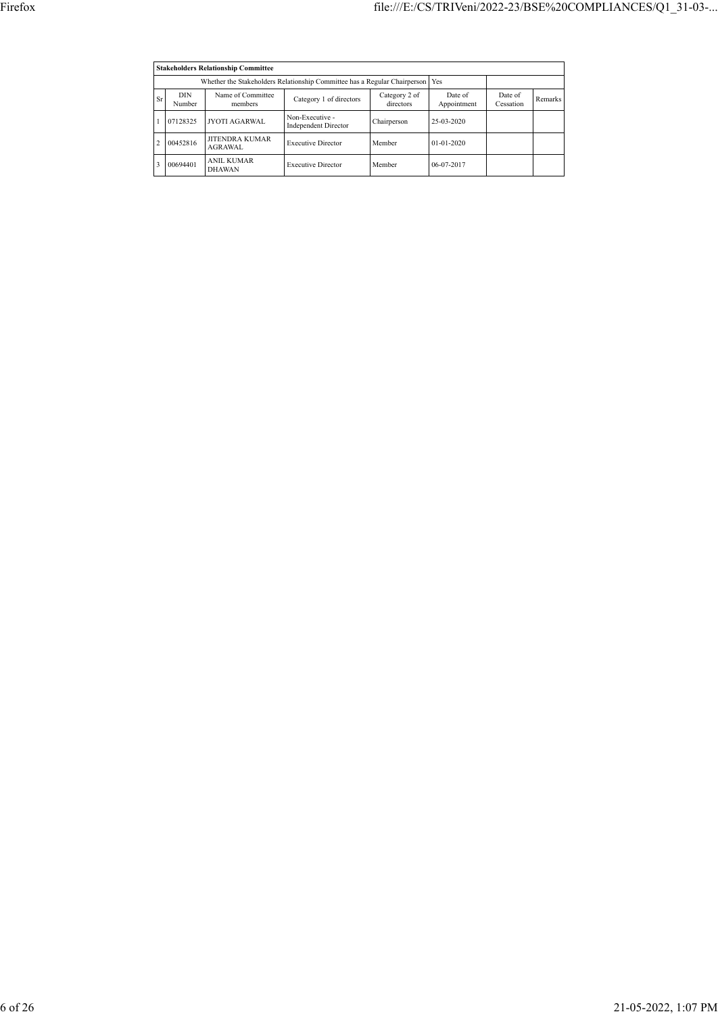|                | <b>Stakeholders Relationship Committee</b> |                                                                           |                                                |                      |                  |  |  |  |  |  |
|----------------|--------------------------------------------|---------------------------------------------------------------------------|------------------------------------------------|----------------------|------------------|--|--|--|--|--|
|                |                                            | Whether the Stakeholders Relationship Committee has a Regular Chairperson |                                                | Yes                  |                  |  |  |  |  |  |
| <b>Sr</b>      | <b>DIN</b><br>Number                       | Name of Committee<br>members                                              | Date of<br>Appointment                         | Date of<br>Cessation | Remarks          |  |  |  |  |  |
|                | 07128325                                   | <b>JYOTI AGARWAL</b>                                                      | Non-Executive -<br><b>Independent Director</b> | Chairperson          | 25-03-2020       |  |  |  |  |  |
| $\overline{c}$ | 00452816                                   | <b>JITENDRA KUMAR</b><br>AGRAWAL.                                         | <b>Executive Director</b>                      | Member               | $01 - 01 - 2020$ |  |  |  |  |  |
| $\mathbf{3}$   | 00694401                                   | <b>ANIL KUMAR</b><br><b>DHAWAN</b>                                        | <b>Executive Director</b>                      | Member               | 06-07-2017       |  |  |  |  |  |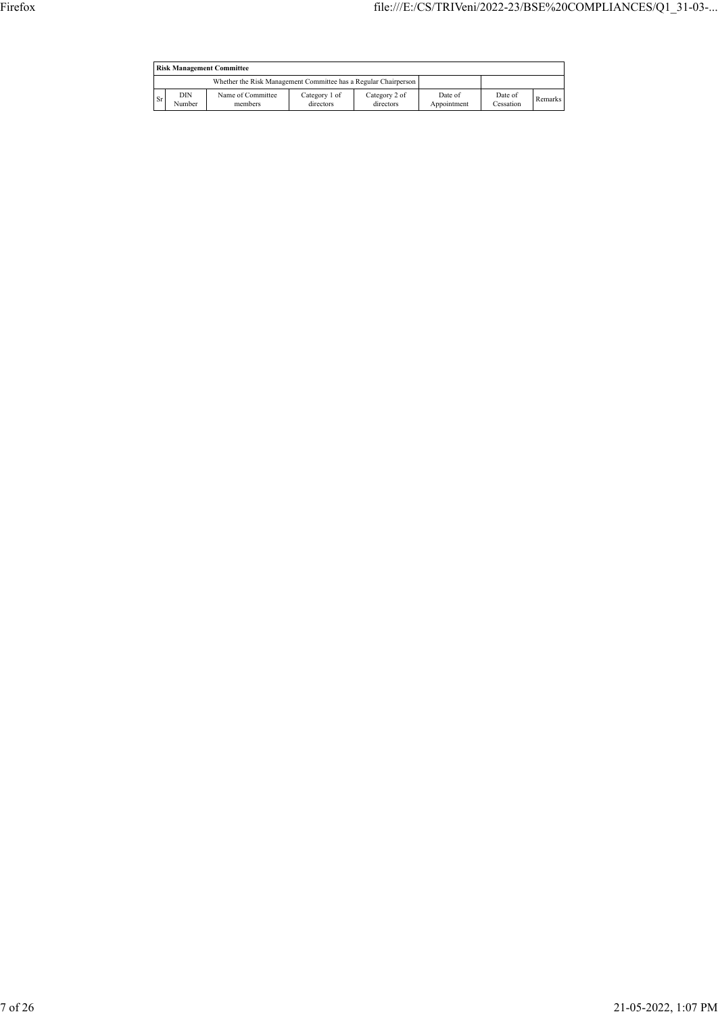|    | <b>Risk Management Committee</b> |                                                                 |                            |                            |                        |                      |         |  |  |
|----|----------------------------------|-----------------------------------------------------------------|----------------------------|----------------------------|------------------------|----------------------|---------|--|--|
|    |                                  | Whether the Risk Management Committee has a Regular Chairperson |                            |                            |                        |                      |         |  |  |
| Sr | <b>DIN</b><br>Number             | Name of Committee<br>members                                    | Category 1 of<br>directors | Category 2 of<br>directors | Date of<br>Appointment | Date of<br>Cessation | Remarks |  |  |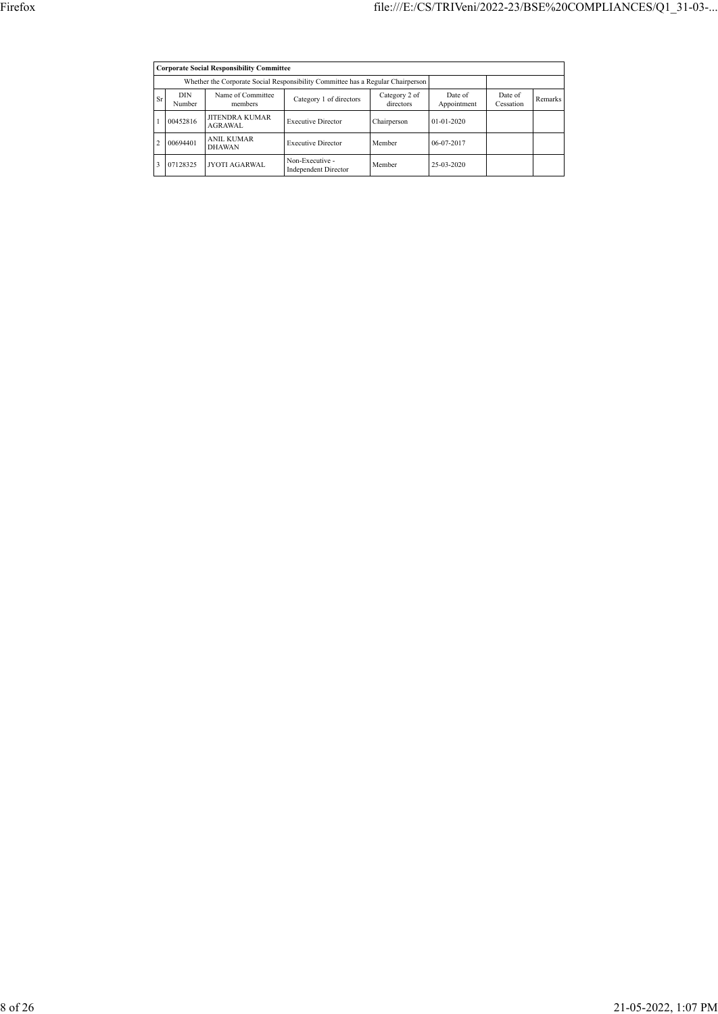|           | <b>Corporate Social Responsibility Committee</b>                                |                                    |                                                |             |                  |  |  |  |  |  |
|-----------|---------------------------------------------------------------------------------|------------------------------------|------------------------------------------------|-------------|------------------|--|--|--|--|--|
|           | Whether the Corporate Social Responsibility Committee has a Regular Chairperson |                                    |                                                |             |                  |  |  |  |  |  |
| <b>Sr</b> | DIN<br>Number                                                                   | Date of<br>Cessation               | Remarks                                        |             |                  |  |  |  |  |  |
|           | 00452816                                                                        | <b>JITENDRA KUMAR</b><br>AGRAWAL   | <b>Executive Director</b>                      | Chairperson | $01 - 01 - 2020$ |  |  |  |  |  |
|           | 00694401                                                                        | <b>ANIL KUMAR</b><br><b>DHAWAN</b> | <b>Executive Director</b>                      | Member      | 06-07-2017       |  |  |  |  |  |
|           | 07128325                                                                        | <b>JYOTI AGARWAL</b>               | Non-Executive -<br><b>Independent Director</b> | Member      | 25-03-2020       |  |  |  |  |  |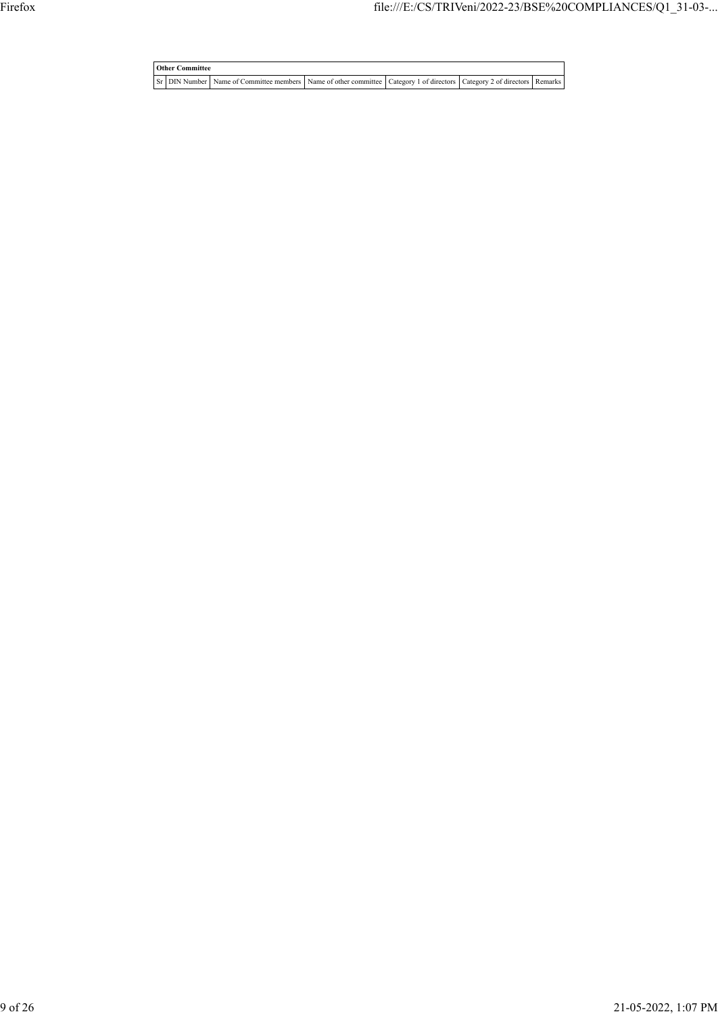**Other Committee** Sr DIN Number Name of Committee members Name of other committee Category 1 of directors Category 2 of directors Remarks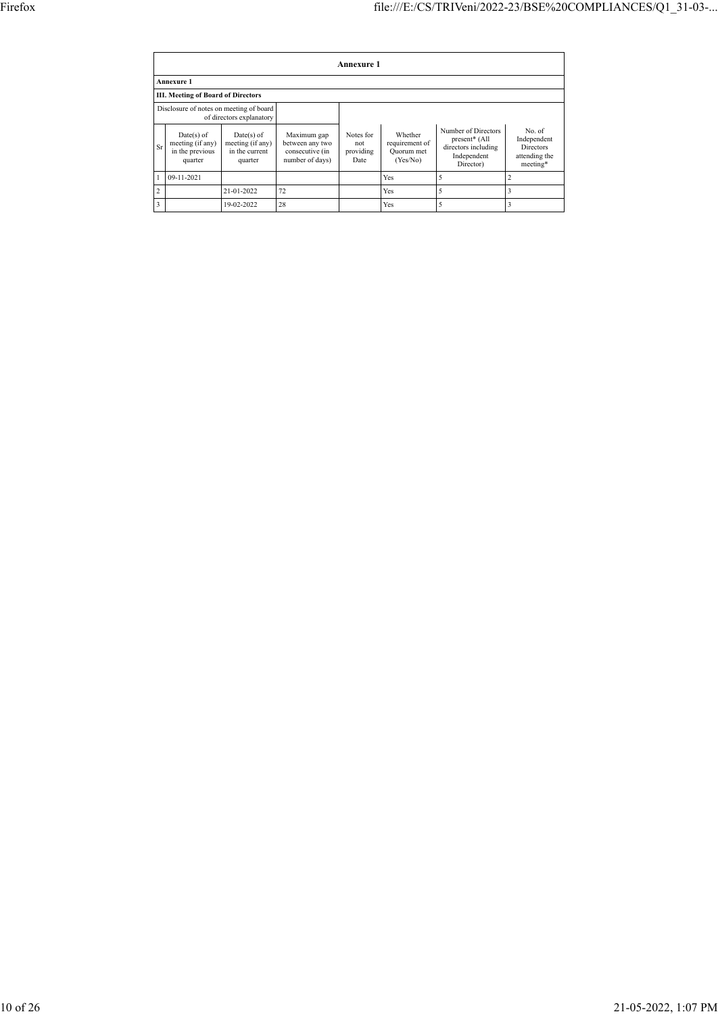|                | Annexure 1                                                          |                                                               |                                                                      |                                       |                                                     |                                                                                                     |                                                                 |  |  |  |
|----------------|---------------------------------------------------------------------|---------------------------------------------------------------|----------------------------------------------------------------------|---------------------------------------|-----------------------------------------------------|-----------------------------------------------------------------------------------------------------|-----------------------------------------------------------------|--|--|--|
|                | <b>Annexure 1</b>                                                   |                                                               |                                                                      |                                       |                                                     |                                                                                                     |                                                                 |  |  |  |
|                | III. Meeting of Board of Directors                                  |                                                               |                                                                      |                                       |                                                     |                                                                                                     |                                                                 |  |  |  |
|                | Disclosure of notes on meeting of board<br>of directors explanatory |                                                               |                                                                      |                                       |                                                     |                                                                                                     |                                                                 |  |  |  |
| Sr             | $Date(s)$ of<br>meeting (if any)<br>in the previous<br>quarter      | $Date(s)$ of<br>meeting (if any)<br>in the current<br>quarter | Maximum gap<br>between any two<br>consecutive (in<br>number of days) | Notes for<br>not<br>providing<br>Date | Whether<br>requirement of<br>Quorum met<br>(Yes/No) | Number of Directors<br>present <sup>*</sup> (All<br>directors including<br>Independent<br>Director) | No. of<br>Independent<br>Directors<br>attending the<br>meeting* |  |  |  |
|                | 09-11-2021                                                          |                                                               |                                                                      |                                       | Yes                                                 | 5                                                                                                   | 2                                                               |  |  |  |
| $\overline{c}$ |                                                                     | 21-01-2022                                                    | 72                                                                   |                                       | Yes                                                 | 5                                                                                                   | 3                                                               |  |  |  |
| 3              |                                                                     | 19-02-2022                                                    | 28                                                                   |                                       | Yes                                                 | 5                                                                                                   | 3                                                               |  |  |  |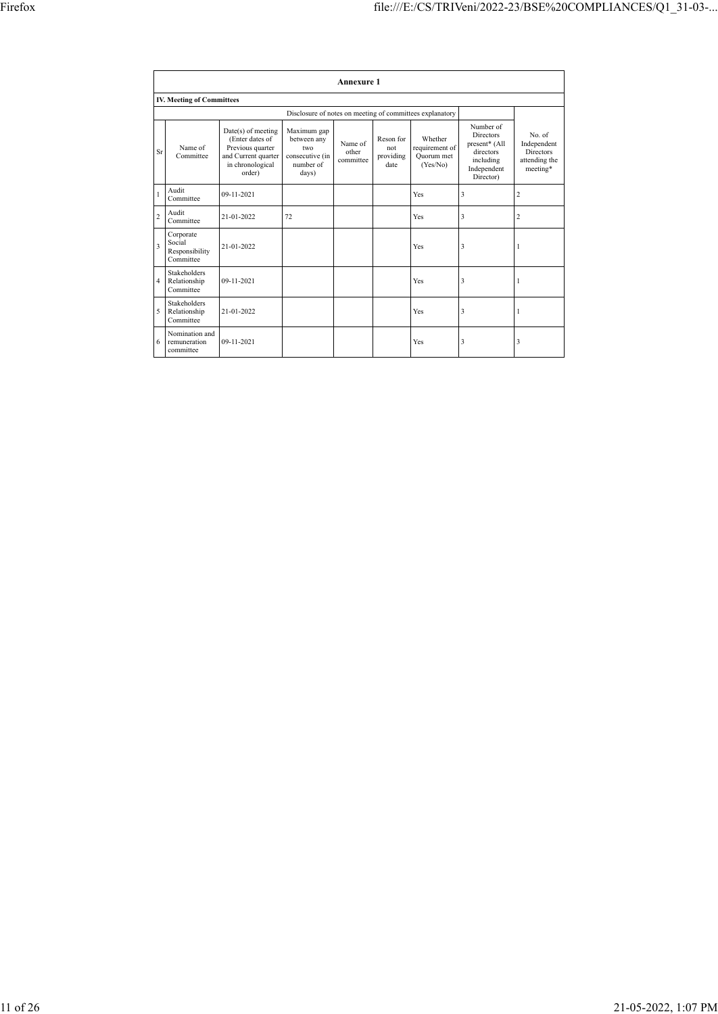|                         | <b>Annexure 1</b>                                  |                                                                                                                  |                                                                            |                               |                                       |                                                          |                                                                                                      |                                                                       |  |  |
|-------------------------|----------------------------------------------------|------------------------------------------------------------------------------------------------------------------|----------------------------------------------------------------------------|-------------------------------|---------------------------------------|----------------------------------------------------------|------------------------------------------------------------------------------------------------------|-----------------------------------------------------------------------|--|--|
|                         | <b>IV. Meeting of Committees</b>                   |                                                                                                                  |                                                                            |                               |                                       |                                                          |                                                                                                      |                                                                       |  |  |
|                         |                                                    |                                                                                                                  |                                                                            |                               |                                       | Disclosure of notes on meeting of committees explanatory |                                                                                                      |                                                                       |  |  |
| Sr                      | Name of<br>Committee                               | $Date(s)$ of meeting<br>(Enter dates of<br>Previous quarter<br>and Current quarter<br>in chronological<br>order) | Maximum gap<br>between any<br>two<br>consecutive (in<br>number of<br>days) | Name of<br>other<br>committee | Reson for<br>not<br>providing<br>date | Whether<br>requirement of<br>Ouorum met<br>(Yes/No)      | Number of<br><b>Directors</b><br>present* (All<br>directors<br>including<br>Independent<br>Director) | No of<br>Independent<br><b>Directors</b><br>attending the<br>meeting* |  |  |
| 1                       | Audit<br>Committee                                 | 09-11-2021                                                                                                       |                                                                            |                               |                                       | Yes                                                      | 3                                                                                                    | $\overline{2}$                                                        |  |  |
| $\overline{2}$          | Audit<br>Committee                                 | 21-01-2022                                                                                                       | 72                                                                         |                               |                                       | Yes                                                      | 3                                                                                                    | $\overline{c}$                                                        |  |  |
| $\overline{\mathbf{3}}$ | Corporate<br>Social<br>Responsibility<br>Committee | 21-01-2022                                                                                                       |                                                                            |                               |                                       | Yes                                                      | 3                                                                                                    | 1                                                                     |  |  |
| $\overline{4}$          | Stakeholders<br>Relationship<br>Committee          | $09 - 11 - 2021$                                                                                                 |                                                                            |                               |                                       | Yes                                                      | 3                                                                                                    | 1                                                                     |  |  |
| 5                       | Stakeholders<br>Relationship<br>Committee          | 21-01-2022                                                                                                       |                                                                            |                               |                                       | Yes                                                      | 3                                                                                                    | 1                                                                     |  |  |
| 6                       | Nomination and<br>remuneration<br>committee        | 09-11-2021                                                                                                       |                                                                            |                               |                                       | Yes                                                      | 3                                                                                                    | 3                                                                     |  |  |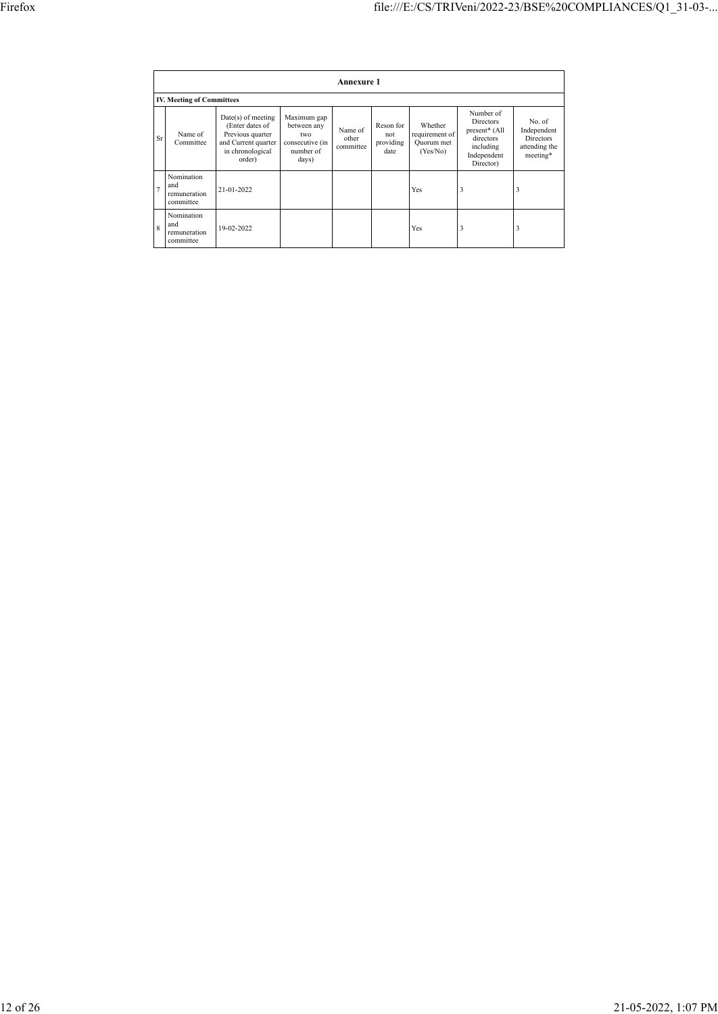|                | Annexure 1                                     |                                                                                                                  |                                                                             |                               |                                       |                                                     |                                                                                                      |                                                                        |  |  |
|----------------|------------------------------------------------|------------------------------------------------------------------------------------------------------------------|-----------------------------------------------------------------------------|-------------------------------|---------------------------------------|-----------------------------------------------------|------------------------------------------------------------------------------------------------------|------------------------------------------------------------------------|--|--|
|                | <b>IV. Meeting of Committees</b>               |                                                                                                                  |                                                                             |                               |                                       |                                                     |                                                                                                      |                                                                        |  |  |
| Sr             | Name of<br>Committee                           | $Date(s)$ of meeting<br>(Enter dates of<br>Previous quarter<br>and Current quarter<br>in chronological<br>order) | Maximum gap<br>between any<br>two.<br>consecutive (in<br>number of<br>days) | Name of<br>other<br>committee | Reson for<br>not<br>providing<br>date | Whether<br>requirement of<br>Quorum met<br>(Yes/No) | Number of<br><b>Directors</b><br>present* (All<br>directors<br>including<br>Independent<br>Director) | No. of<br>Independent<br><b>Directors</b><br>attending the<br>meeting* |  |  |
| $\overline{7}$ | Nomination<br>and<br>remuneration<br>committee | 21-01-2022                                                                                                       |                                                                             |                               |                                       | Yes                                                 | 3                                                                                                    | 3                                                                      |  |  |
| $\mathbf{8}$   | Nomination<br>and<br>remuneration<br>committee | 19-02-2022                                                                                                       |                                                                             |                               |                                       | Yes                                                 | 3                                                                                                    | 3                                                                      |  |  |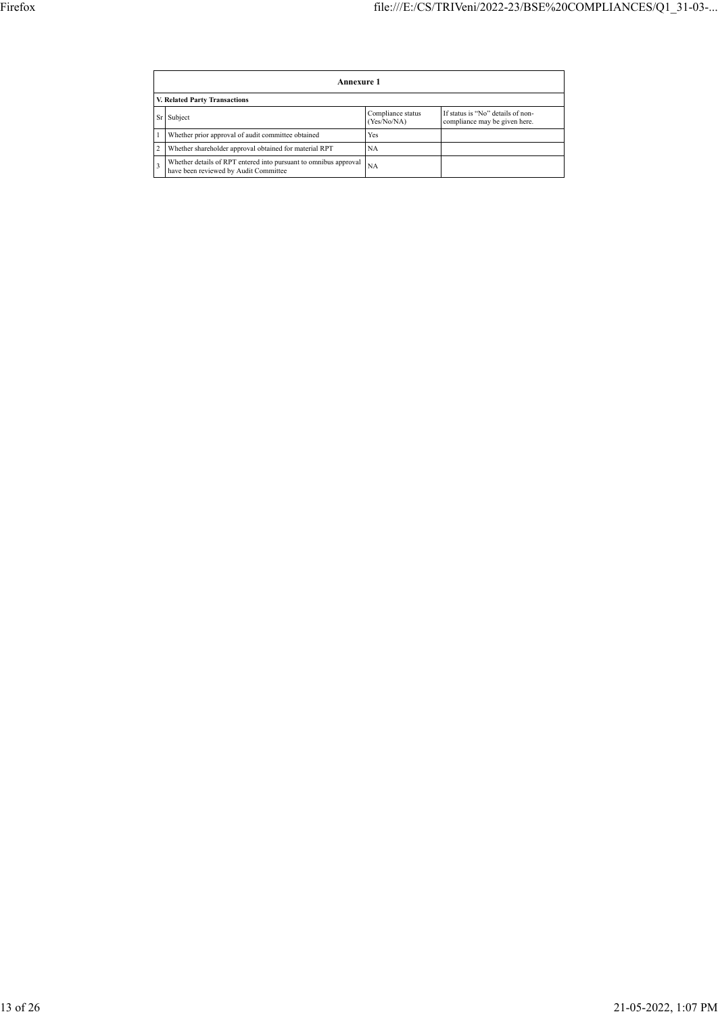|    | Annexure 1                                                                                             |                                  |                                                                    |  |  |  |  |  |  |  |
|----|--------------------------------------------------------------------------------------------------------|----------------------------------|--------------------------------------------------------------------|--|--|--|--|--|--|--|
|    | V. Related Party Transactions                                                                          |                                  |                                                                    |  |  |  |  |  |  |  |
| Sr | Subject                                                                                                | Compliance status<br>(Yes/No/NA) | If status is "No" details of non-<br>compliance may be given here. |  |  |  |  |  |  |  |
|    | Whether prior approval of audit committee obtained                                                     | Yes                              |                                                                    |  |  |  |  |  |  |  |
| 2  | Whether shareholder approval obtained for material RPT                                                 | <b>NA</b>                        |                                                                    |  |  |  |  |  |  |  |
|    | Whether details of RPT entered into pursuant to omnibus approval have been reviewed by Audit Committee | NA                               |                                                                    |  |  |  |  |  |  |  |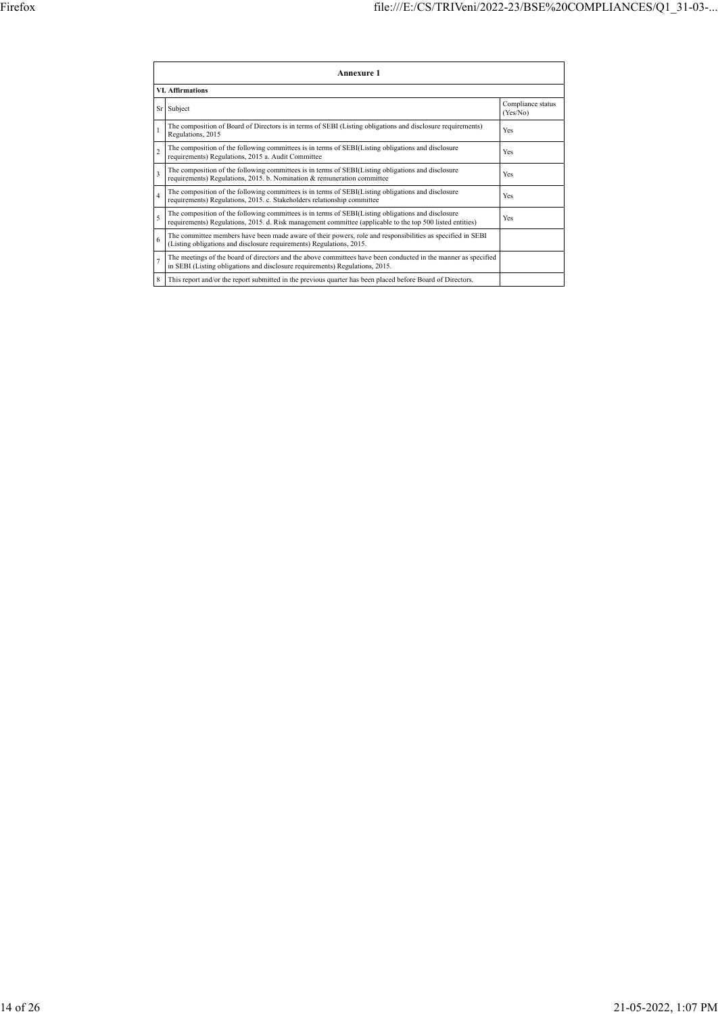|                         | Annexure 1                                                                                                                                                                                                      |                               |
|-------------------------|-----------------------------------------------------------------------------------------------------------------------------------------------------------------------------------------------------------------|-------------------------------|
|                         | <b>VI.</b> Affirmations                                                                                                                                                                                         |                               |
| Sr                      | Subject                                                                                                                                                                                                         | Compliance status<br>(Yes/No) |
| 1                       | The composition of Board of Directors is in terms of SEBI (Listing obligations and disclosure requirements)<br>Regulations, 2015                                                                                | Yes                           |
| $\overline{2}$          | The composition of the following committees is in terms of SEBI(Listing obligations and disclosure<br>requirements) Regulations, 2015 a. Audit Committee                                                        | Yes                           |
| $\overline{\mathbf{3}}$ | The composition of the following committees is in terms of SEBI(Listing obligations and disclosure<br>requirements) Regulations, 2015. b. Nomination & remuneration committee                                   | Yes                           |
| $\overline{4}$          | The composition of the following committees is in terms of SEBI(Listing obligations and disclosure<br>requirements) Regulations, 2015. c. Stakeholders relationship committee                                   | Yes                           |
| 5                       | The composition of the following committees is in terms of SEBI(Listing obligations and disclosure<br>requirements) Regulations, 2015. d. Risk management committee (applicable to the top 500 listed entities) | Yes                           |
| 6                       | The committee members have been made aware of their powers, role and responsibilities as specified in SEBI<br>(Listing obligations and disclosure requirements) Regulations, 2015.                              |                               |
| $\overline{7}$          | The meetings of the board of directors and the above committees have been conducted in the manner as specified<br>in SEBI (Listing obligations and disclosure requirements) Regulations, 2015.                  |                               |
| 8                       | This report and/or the report submitted in the previous quarter has been placed before Board of Directors.                                                                                                      |                               |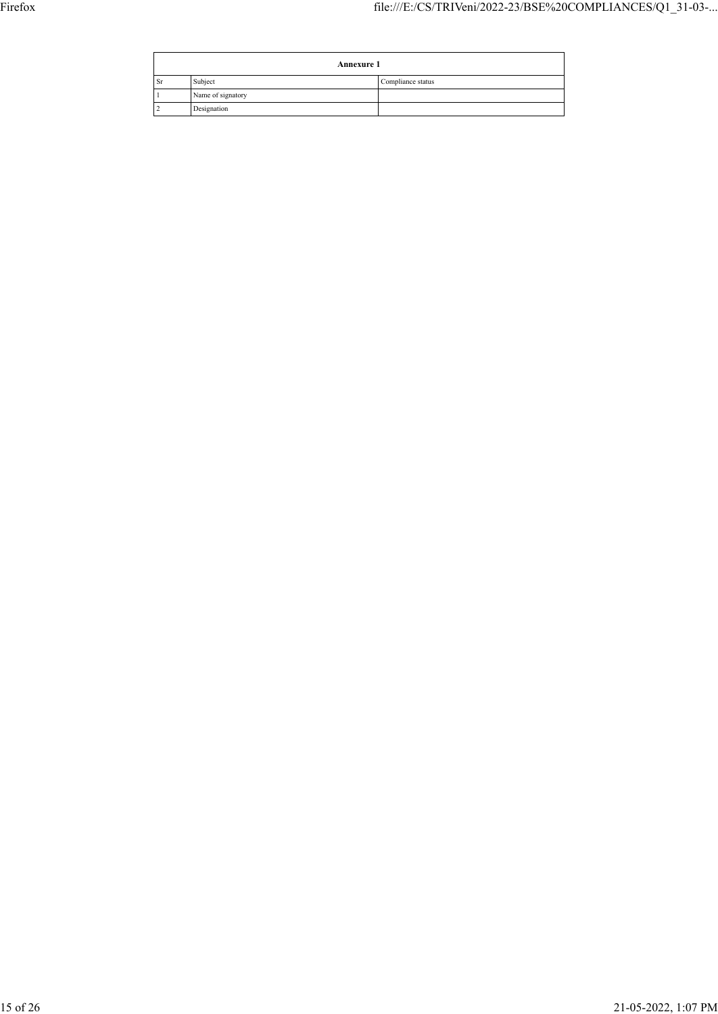|    | <b>Annexure 1</b> |                   |  |
|----|-------------------|-------------------|--|
| Sr | Subject           | Compliance status |  |
|    | Name of signatory |                   |  |
|    | Designation       |                   |  |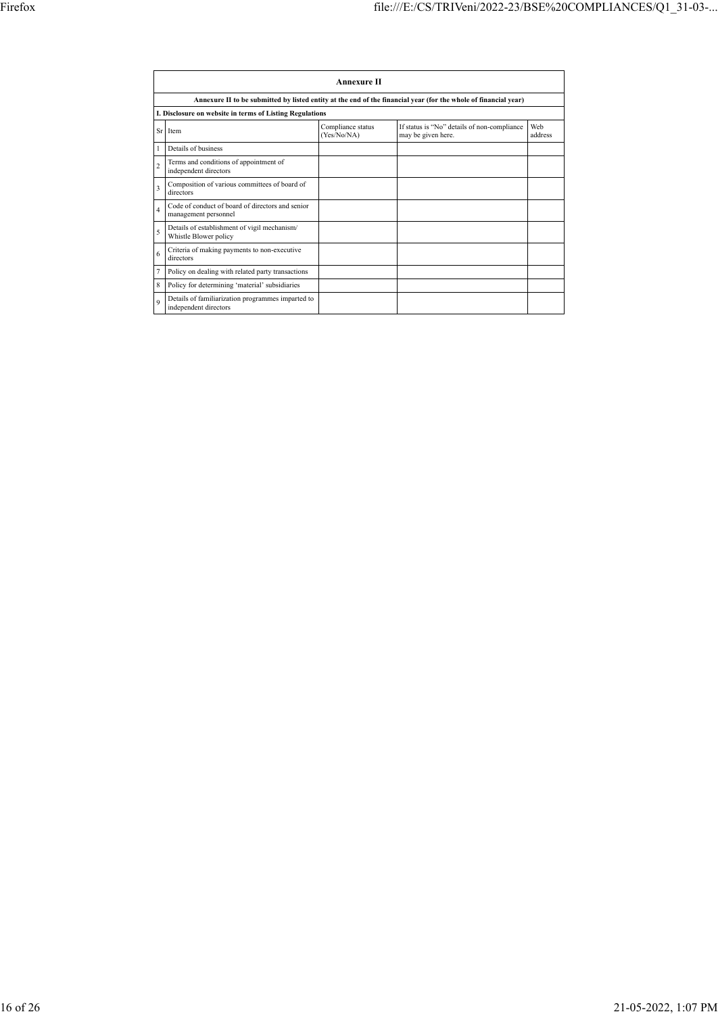|                         | Annexure II                                                                |                                  |                                                                                                                 |                |  |  |
|-------------------------|----------------------------------------------------------------------------|----------------------------------|-----------------------------------------------------------------------------------------------------------------|----------------|--|--|
|                         |                                                                            |                                  | Annexure II to be submitted by listed entity at the end of the financial year (for the whole of financial year) |                |  |  |
|                         | I. Disclosure on website in terms of Listing Regulations                   |                                  |                                                                                                                 |                |  |  |
| Sr                      | <b>Item</b>                                                                | Compliance status<br>(Yes/No/NA) | If status is "No" details of non-compliance<br>may be given here.                                               | Web<br>address |  |  |
|                         | Details of business                                                        |                                  |                                                                                                                 |                |  |  |
| $\overline{2}$          | Terms and conditions of appointment of<br>independent directors            |                                  |                                                                                                                 |                |  |  |
| $\overline{\mathbf{3}}$ | Composition of various committees of board of<br>directors                 |                                  |                                                                                                                 |                |  |  |
| $\overline{4}$          | Code of conduct of board of directors and senior<br>management personnel   |                                  |                                                                                                                 |                |  |  |
| 5                       | Details of establishment of vigil mechanism/<br>Whistle Blower policy      |                                  |                                                                                                                 |                |  |  |
| 6                       | Criteria of making payments to non-executive<br>directors                  |                                  |                                                                                                                 |                |  |  |
| 7                       | Policy on dealing with related party transactions                          |                                  |                                                                                                                 |                |  |  |
| 8                       | Policy for determining 'material' subsidiaries                             |                                  |                                                                                                                 |                |  |  |
| 9                       | Details of familiarization programmes imparted to<br>independent directors |                                  |                                                                                                                 |                |  |  |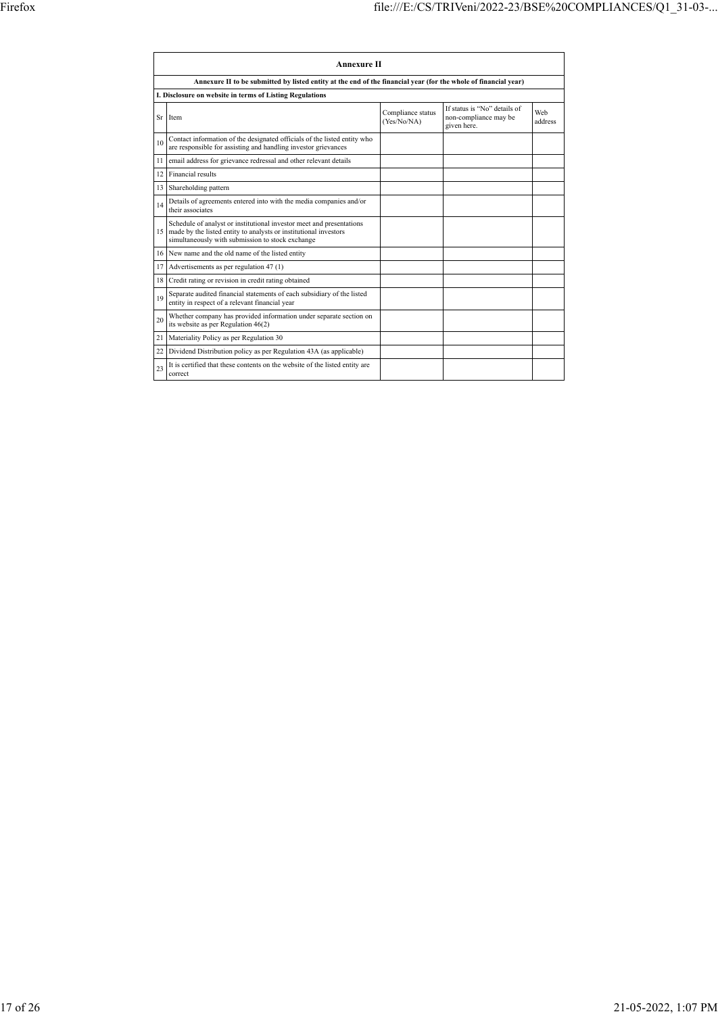|                 | <b>Annexure II</b>                                                                                                                                                                           |                                  |                                                                      |                |  |
|-----------------|----------------------------------------------------------------------------------------------------------------------------------------------------------------------------------------------|----------------------------------|----------------------------------------------------------------------|----------------|--|
|                 | Annexure II to be submitted by listed entity at the end of the financial year (for the whole of financial year)                                                                              |                                  |                                                                      |                |  |
|                 | I. Disclosure on website in terms of Listing Regulations                                                                                                                                     |                                  |                                                                      |                |  |
| Sr              | Item                                                                                                                                                                                         | Compliance status<br>(Yes/No/NA) | If status is "No" details of<br>non-compliance may be<br>given here. | Web<br>address |  |
| 10              | Contact information of the designated officials of the listed entity who<br>are responsible for assisting and handling investor grievances                                                   |                                  |                                                                      |                |  |
| 11              | email address for grievance redressal and other relevant details                                                                                                                             |                                  |                                                                      |                |  |
| 12              | Financial results                                                                                                                                                                            |                                  |                                                                      |                |  |
| 13 <sup>1</sup> | Shareholding pattern                                                                                                                                                                         |                                  |                                                                      |                |  |
| 14              | Details of agreements entered into with the media companies and/or<br>their associates                                                                                                       |                                  |                                                                      |                |  |
| 15 <sup>1</sup> | Schedule of analyst or institutional investor meet and presentations<br>made by the listed entity to analysts or institutional investors<br>simultaneously with submission to stock exchange |                                  |                                                                      |                |  |
|                 | 16 New name and the old name of the listed entity                                                                                                                                            |                                  |                                                                      |                |  |
| 17              | Advertisements as per regulation 47 (1)                                                                                                                                                      |                                  |                                                                      |                |  |
| 18              | Credit rating or revision in credit rating obtained                                                                                                                                          |                                  |                                                                      |                |  |
| 19              | Separate audited financial statements of each subsidiary of the listed<br>entity in respect of a relevant financial year                                                                     |                                  |                                                                      |                |  |
| 20              | Whether company has provided information under separate section on<br>its website as per Regulation 46(2)                                                                                    |                                  |                                                                      |                |  |
| 21              | Materiality Policy as per Regulation 30                                                                                                                                                      |                                  |                                                                      |                |  |
| 22              | Dividend Distribution policy as per Regulation 43A (as applicable)                                                                                                                           |                                  |                                                                      |                |  |
| 23              | It is certified that these contents on the website of the listed entity are<br>correct                                                                                                       |                                  |                                                                      |                |  |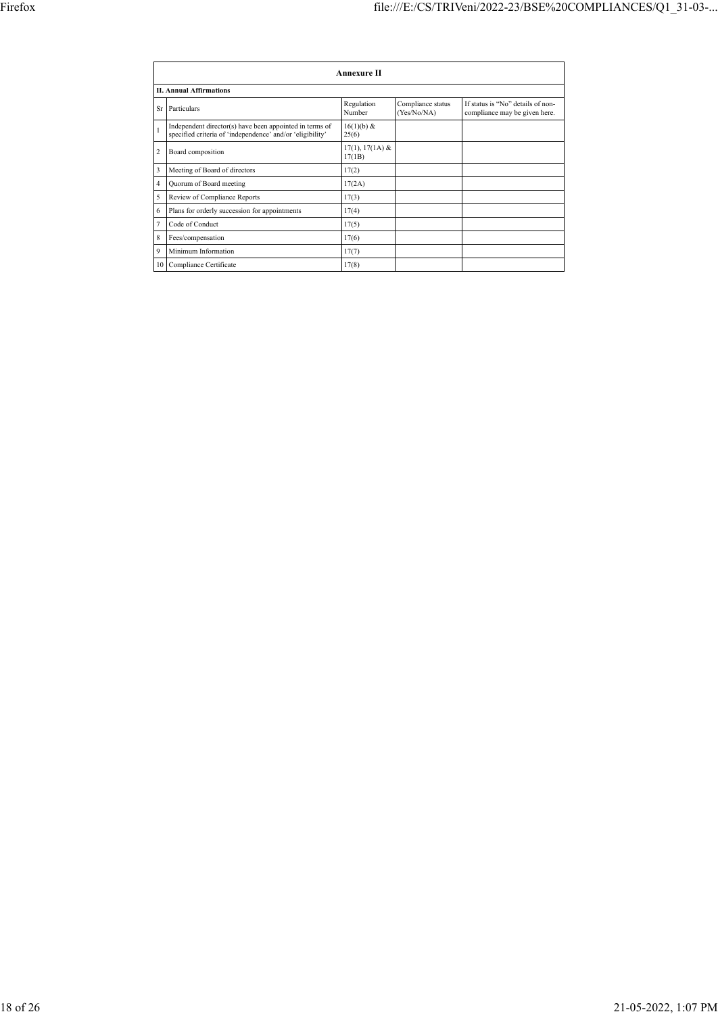|                | <b>Annexure II</b>                                                                                                   |                             |                                  |                                                                    |  |  |
|----------------|----------------------------------------------------------------------------------------------------------------------|-----------------------------|----------------------------------|--------------------------------------------------------------------|--|--|
|                | <b>II. Annual Affirmations</b>                                                                                       |                             |                                  |                                                                    |  |  |
| Sr             | Particulars                                                                                                          | Regulation<br>Number        | Compliance status<br>(Yes/No/NA) | If status is "No" details of non-<br>compliance may be given here. |  |  |
| $\mathbf{1}$   | Independent director(s) have been appointed in terms of<br>specified criteria of 'independence' and/or 'eligibility' | 16(1)(b) &<br>25(6)         |                                  |                                                                    |  |  |
| $\overline{2}$ | Board composition                                                                                                    | $17(1), 17(1A)$ &<br>17(1B) |                                  |                                                                    |  |  |
| 3              | Meeting of Board of directors                                                                                        | 17(2)                       |                                  |                                                                    |  |  |
| 4              | Quorum of Board meeting                                                                                              | 17(2A)                      |                                  |                                                                    |  |  |
| 5              | Review of Compliance Reports                                                                                         | 17(3)                       |                                  |                                                                    |  |  |
| 6              | Plans for orderly succession for appointments                                                                        | 17(4)                       |                                  |                                                                    |  |  |
| $\overline{7}$ | Code of Conduct                                                                                                      | 17(5)                       |                                  |                                                                    |  |  |
| 8              | Fees/compensation                                                                                                    | 17(6)                       |                                  |                                                                    |  |  |
| 9              | Minimum Information                                                                                                  | 17(7)                       |                                  |                                                                    |  |  |
|                | 10 Compliance Certificate                                                                                            | 17(8)                       |                                  |                                                                    |  |  |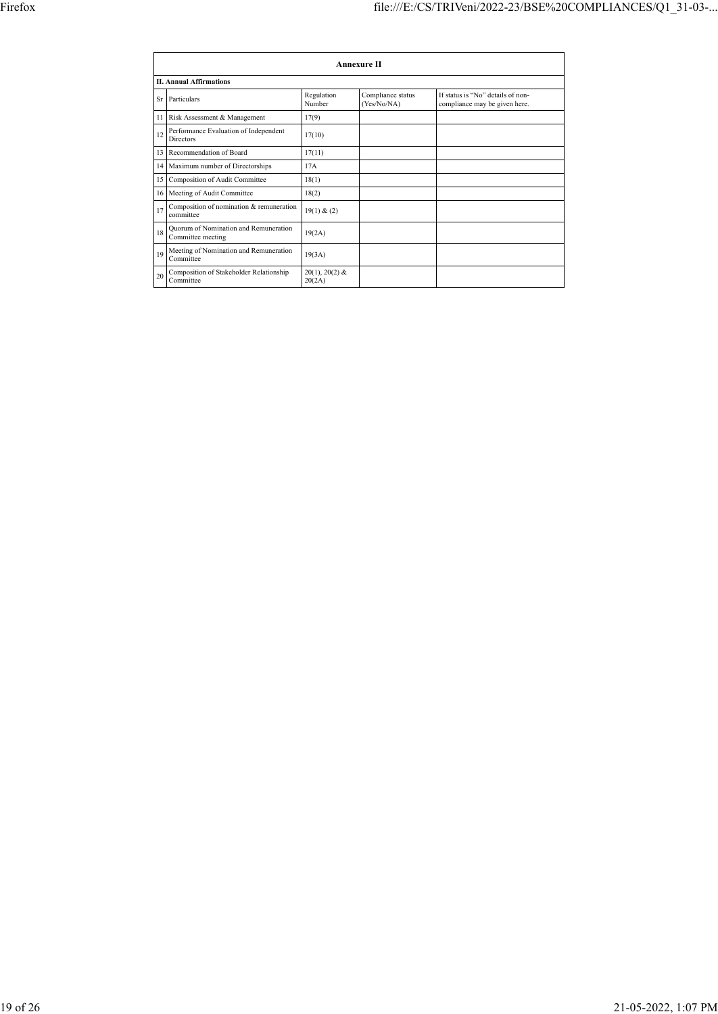|    | <b>Annexure II</b>                                         |                            |                                  |                                                                    |  |
|----|------------------------------------------------------------|----------------------------|----------------------------------|--------------------------------------------------------------------|--|
|    | <b>II. Annual Affirmations</b>                             |                            |                                  |                                                                    |  |
| Sr | Particulars                                                | Regulation<br>Number       | Compliance status<br>(Yes/No/NA) | If status is "No" details of non-<br>compliance may be given here. |  |
| 11 | Risk Assessment & Management                               | 17(9)                      |                                  |                                                                    |  |
| 12 | Performance Evaluation of Independent<br><b>Directors</b>  | 17(10)                     |                                  |                                                                    |  |
| 13 | Recommendation of Board                                    | 17(11)                     |                                  |                                                                    |  |
| 14 | Maximum number of Directorships                            | 17A                        |                                  |                                                                    |  |
| 15 | Composition of Audit Committee                             | 18(1)                      |                                  |                                                                    |  |
| 16 | Meeting of Audit Committee                                 | 18(2)                      |                                  |                                                                    |  |
| 17 | Composition of nomination & remuneration<br>committee      | 19(1) & (2)                |                                  |                                                                    |  |
| 18 | Quorum of Nomination and Remuneration<br>Committee meeting | 19(2A)                     |                                  |                                                                    |  |
| 19 | Meeting of Nomination and Remuneration<br>Committee        | 19(3A)                     |                                  |                                                                    |  |
| 20 | Composition of Stakeholder Relationship<br>Committee       | $20(1), 20(2)$ &<br>20(2A) |                                  |                                                                    |  |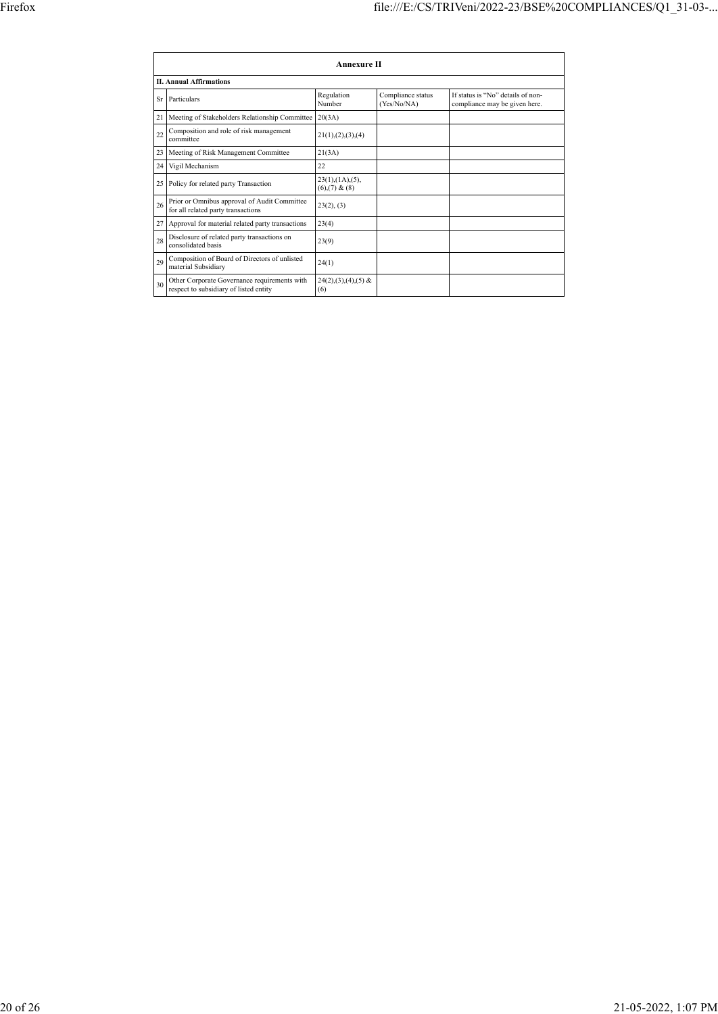|    | Annexure II                                                                            |                                                     |                                  |                                                                    |  |
|----|----------------------------------------------------------------------------------------|-----------------------------------------------------|----------------------------------|--------------------------------------------------------------------|--|
|    | <b>II. Annual Affirmations</b>                                                         |                                                     |                                  |                                                                    |  |
| Sr | Particulars                                                                            | Regulation<br>Number                                | Compliance status<br>(Yes/No/NA) | If status is "No" details of non-<br>compliance may be given here. |  |
| 21 | Meeting of Stakeholders Relationship Committee                                         | 20(3A)                                              |                                  |                                                                    |  |
| 22 | Composition and role of risk management<br>committee                                   | 21(1), (2), (3), (4)                                |                                  |                                                                    |  |
| 23 | Meeting of Risk Management Committee                                                   | 21(3A)                                              |                                  |                                                                    |  |
| 24 | Vigil Mechanism                                                                        | 22                                                  |                                  |                                                                    |  |
| 25 | Policy for related party Transaction                                                   | $23(1)$ , $(1A)$ , $(5)$ ,<br>$(6)$ , $(7)$ & $(8)$ |                                  |                                                                    |  |
| 26 | Prior or Omnibus approval of Audit Committee<br>for all related party transactions     | 23(2), (3)                                          |                                  |                                                                    |  |
| 27 | Approval for material related party transactions                                       | 23(4)                                               |                                  |                                                                    |  |
| 28 | Disclosure of related party transactions on<br>consolidated basis                      | 23(9)                                               |                                  |                                                                    |  |
| 29 | Composition of Board of Directors of unlisted<br>material Subsidiary                   | 24(1)                                               |                                  |                                                                    |  |
| 30 | Other Corporate Governance requirements with<br>respect to subsidiary of listed entity | $24(2),(3),(4),(5)$ &<br>(6)                        |                                  |                                                                    |  |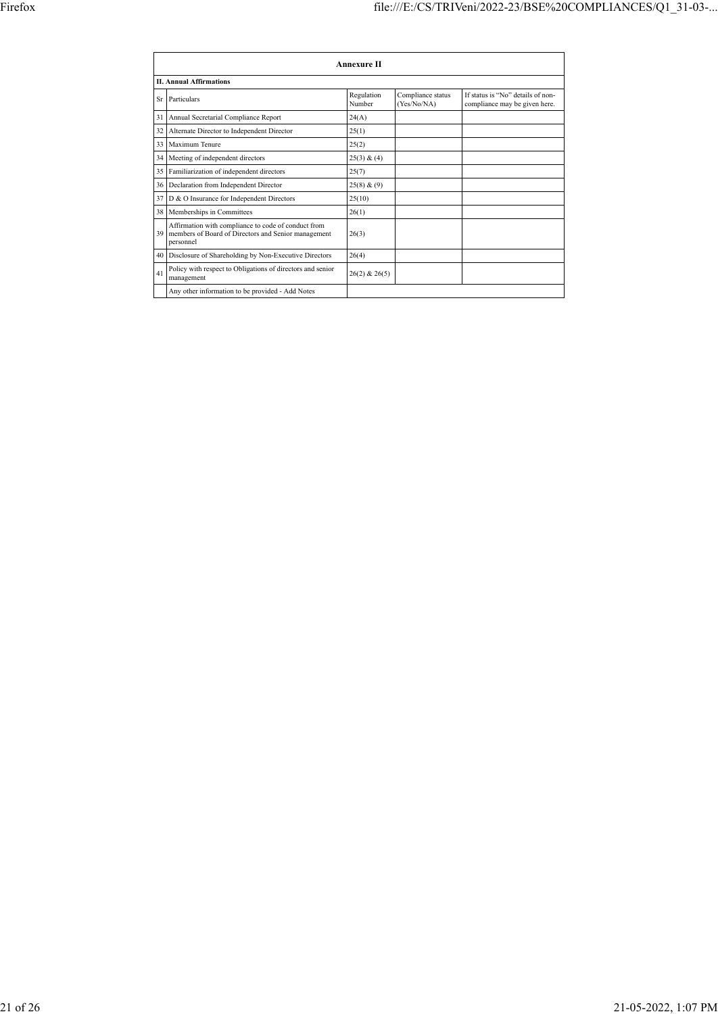|    | <b>Annexure II</b>                                                                                                      |                      |                                  |                                                                    |  |
|----|-------------------------------------------------------------------------------------------------------------------------|----------------------|----------------------------------|--------------------------------------------------------------------|--|
|    | <b>II. Annual Affirmations</b>                                                                                          |                      |                                  |                                                                    |  |
| Sr | Particulars                                                                                                             | Regulation<br>Number | Compliance status<br>(Yes/No/NA) | If status is "No" details of non-<br>compliance may be given here. |  |
| 31 | Annual Secretarial Compliance Report                                                                                    | 24(A)                |                                  |                                                                    |  |
| 32 | Alternate Director to Independent Director                                                                              | 25(1)                |                                  |                                                                    |  |
| 33 | Maximum Tenure                                                                                                          | 25(2)                |                                  |                                                                    |  |
| 34 | Meeting of independent directors                                                                                        | 25(3) & (4)          |                                  |                                                                    |  |
| 35 | Familiarization of independent directors                                                                                | 25(7)                |                                  |                                                                    |  |
| 36 | Declaration from Independent Director                                                                                   | 25(8) & (9)          |                                  |                                                                    |  |
| 37 | D & O Insurance for Independent Directors                                                                               | 25(10)               |                                  |                                                                    |  |
| 38 | Memberships in Committees                                                                                               | 26(1)                |                                  |                                                                    |  |
| 39 | Affirmation with compliance to code of conduct from<br>members of Board of Directors and Senior management<br>personnel | 26(3)                |                                  |                                                                    |  |
| 40 | Disclosure of Shareholding by Non-Executive Directors                                                                   | 26(4)                |                                  |                                                                    |  |
| 41 | Policy with respect to Obligations of directors and senior<br>management                                                | $26(2)$ & $26(5)$    |                                  |                                                                    |  |
|    | Any other information to be provided - Add Notes                                                                        |                      |                                  |                                                                    |  |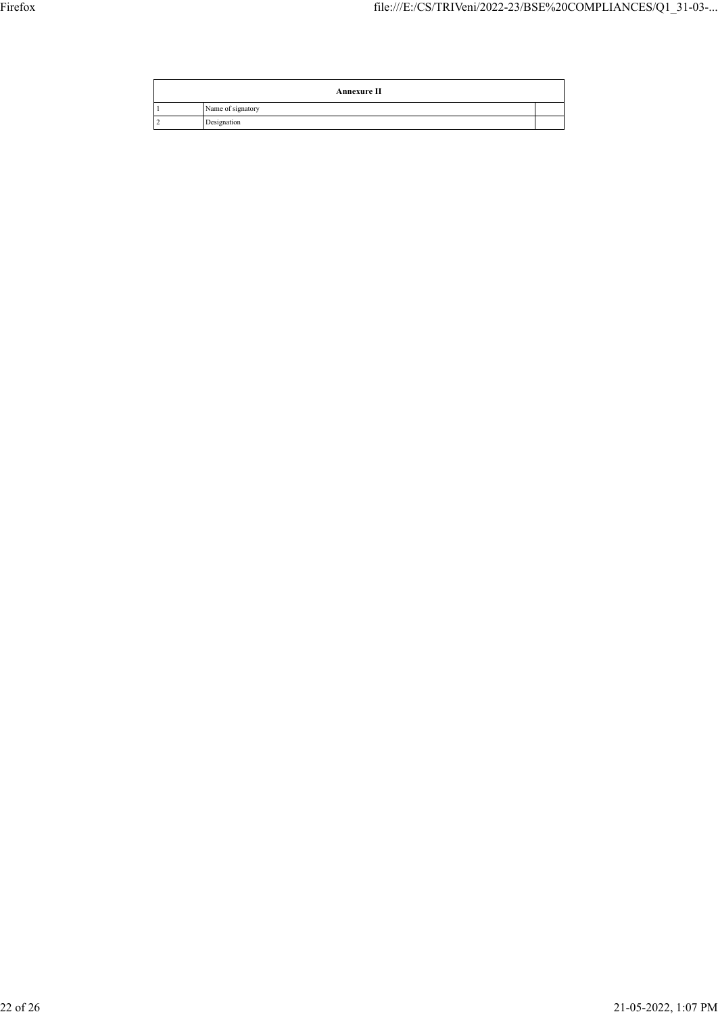| <b>Annexure II</b> |  |
|--------------------|--|
| Name of signatory  |  |
| Designation        |  |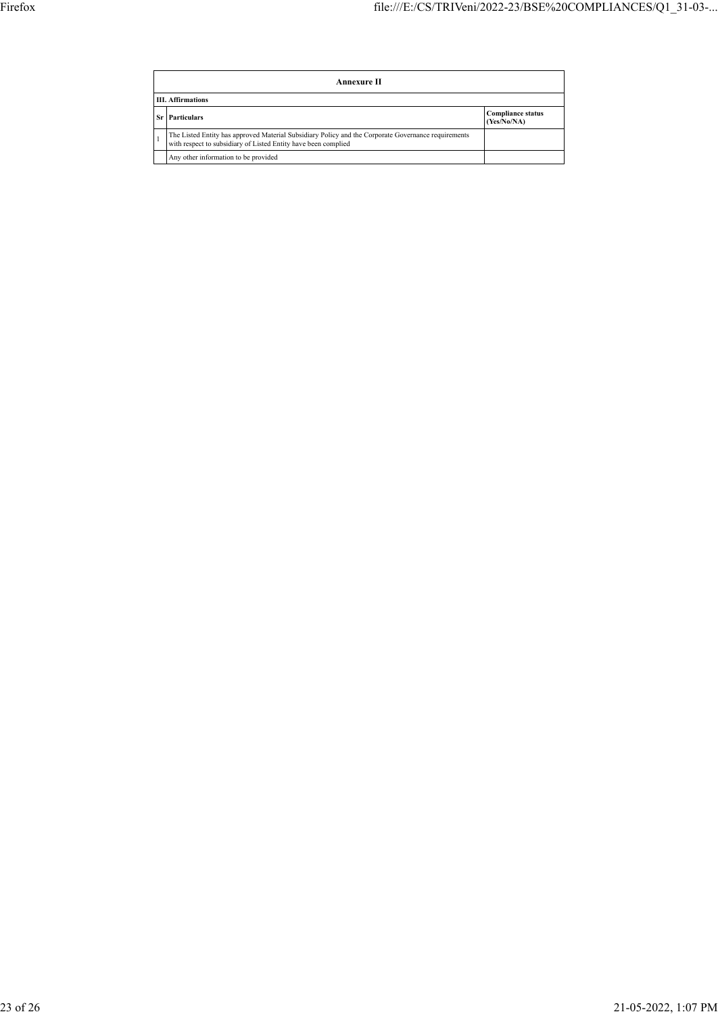| Annexure II                                                                                                                                                           |                                         |
|-----------------------------------------------------------------------------------------------------------------------------------------------------------------------|-----------------------------------------|
| <b>III.</b> Affirmations                                                                                                                                              |                                         |
| <b>Sr</b> Particulars                                                                                                                                                 | <b>Compliance status</b><br>(Yes/No/NA) |
| The Listed Entity has approved Material Subsidiary Policy and the Corporate Governance requirements<br>with respect to subsidiary of Listed Entity have been complied |                                         |
| Any other information to be provided                                                                                                                                  |                                         |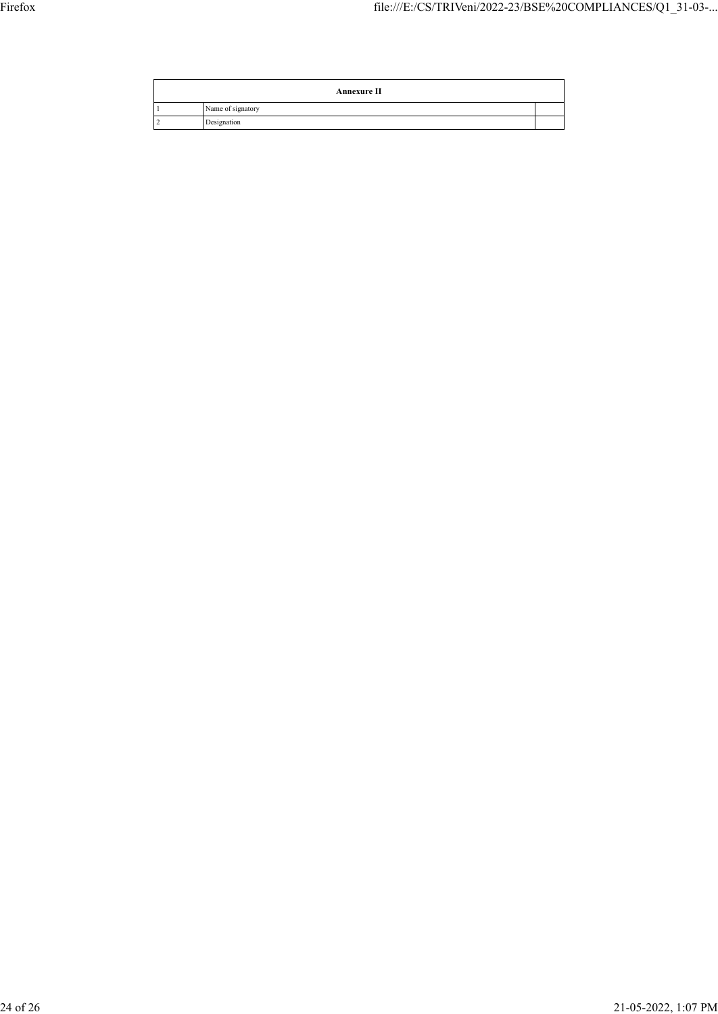| <b>Annexure II</b> |  |
|--------------------|--|
| Name of signatory  |  |
| Designation        |  |